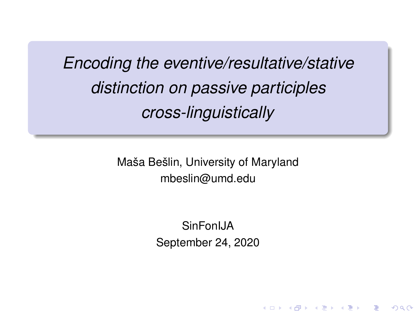*Encoding the eventive/resultative/stative distinction on passive participles cross-linguistically*

> Maša Bešlin, University of Maryland mbeslin@umd.edu

> > SinFonIJA September 24, 2020

> > > K ロ K K 御 K K 君 K K 君 K 「君

 $2Q$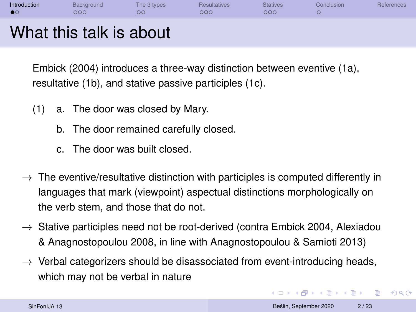<span id="page-1-0"></span>

| Introduction | Background<br>೧೧೧       | The 3 types<br>oο | <b>Resultatives</b><br>000 | <b>Statives</b><br>000 | Conclusion | References |
|--------------|-------------------------|-------------------|----------------------------|------------------------|------------|------------|
|              | What this talk is about |                   |                            |                        |            |            |

[Embick \(2004\)](#page-23-1) introduces a three-way distinction between eventive (1a), resultative (1b), and stative passive participles (1c).

- (1) a. The door was closed by Mary.
	- b. The door remained carefully closed.
	- c. The door was built closed.
- $\rightarrow$  The eventive/resultative distinction with participles is computed differently in languages that mark (viewpoint) aspectual distinctions morphologically on the verb stem, and those that do not.
- $\rightarrow$  Stative participles need not be root-derived (contra [Embick 2004,](#page-23-1) [Alexiadou](#page-23-2) [& Anagnostopoulou 2008,](#page-23-2) in line with [Anagnostopoulou & Samioti 2013\)](#page-23-3)
- $\rightarrow$  Verbal categorizers should be disassociated from event-introducing heads, which may not be verbal in nature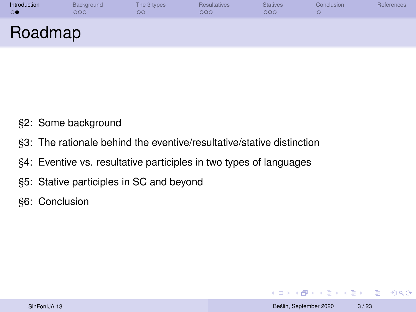| Introduction | Background<br>೧೧೧ | The 3 types<br>$\circ$ | <b>Resultatives</b><br>೧೦೧ | <b>Statives</b><br>೦೦೦ | Conclusion | References |
|--------------|-------------------|------------------------|----------------------------|------------------------|------------|------------|
| Roadmap      |                   |                        |                            |                        |            |            |

- §2: Some background
- §3: The rationale behind the eventive/resultative/stative distinction
- §4: Eventive vs. resultative participles in two types of languages
- §5: Stative participles in SC and beyond
- §6: Conclusion

**KORK ERREST ADAMS**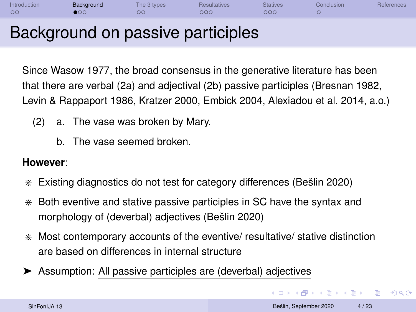<span id="page-3-0"></span>

| Introduction<br>$\circ$ | Background<br>∙⊙ | The 3 types<br>nc | Resultatives<br>000 | <b>Statives</b><br>၁ဝင | Conclusion | <b>References</b> |
|-------------------------|------------------|-------------------|---------------------|------------------------|------------|-------------------|
|                         | -                |                   | $\sim$              |                        |            |                   |

## Background on passive participles

Since [Wasow 1977,](#page-24-0) the broad consensus in the generative literature has been that there are verbal (2a) and adjectival (2b) passive participles [\(Bresnan 1982,](#page-23-4) [Levin & Rappaport 1986,](#page-24-1) [Kratzer 2000,](#page-23-5) [Embick 2004,](#page-23-1) [Alexiadou et al. 2014,](#page-23-6) a.o.)

- (2) a. The vase was broken by Mary.
	- b. The vase seemed broken.

#### **However**:

- > Existing diagnostics do not test for category differences [\(Bešlin 2020\)](#page-23-7)
- $*$  Both eventive and stative passive participles in SC have the syntax and morphology of (deverbal) adjectives [\(Bešlin 2020\)](#page-23-7)
- $*$  Most contemporary accounts of the eventive/ resultative/ stative distinction are based on differences in internal structure
- ➤ Assumption: All passive participles are (deverbal) adjectives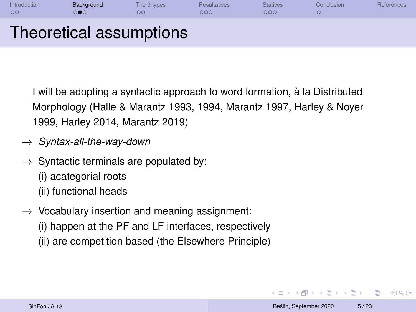| Introduction<br>$\circ$ | Background              | The 3 types | <b>Resultatives</b><br>000 | <b>Statives</b><br>000 | Conclusion | <b>References</b> |
|-------------------------|-------------------------|-------------|----------------------------|------------------------|------------|-------------------|
|                         | Theoretical assumptions |             |                            |                        |            |                   |

I will be adopting a syntactic approach to word formation, à la Distributed Morphology [\(Halle & Marantz 1993,](#page-23-8) [1994,](#page-23-9) [Marantz 1997,](#page-24-2) [Harley & Noyer](#page-23-10) [1999,](#page-23-10) [Harley 2014,](#page-23-11) [Marantz 2019\)](#page-24-3)

- → *Syntax-all-the-way-down*
- $\rightarrow$  Syntactic terminals are populated by: (i) acategorial roots (ii) functional heads
- $\rightarrow$  Vocabulary insertion and meaning assignment:
	- (i) happen at the PF and LF interfaces, respectively
	- (ii) are competition based (the Elsewhere Principle)

**KORK ERREST ADAMS**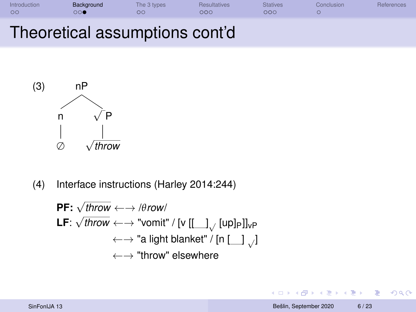| Introduction<br>$\circ$ | Background | The 3 types<br>оc | <b>Resultatives</b><br>000 | <b>Statives</b><br>DOC | Conclusion | Heterences |
|-------------------------|------------|-------------------|----------------------------|------------------------|------------|------------|
|                         |            |                   | - -                        |                        |            |            |

### Theoretical assumptions cont'd



(4) Interface instructions [\(Harley 2014:](#page-23-11)244)

$$
\begin{aligned} \mathsf{PF:} \ \sqrt{\mathit{throw}} &\longleftrightarrow \mathit{flow}/ \\ \mathsf{LF:} \ \sqrt{\mathit{throw}} &\longleftrightarrow \text{"vomit"} / [\mathsf{v}\ [[\_\_\] \sqrt{[\mathsf{up}] \mathsf{p}]]} \mathsf{v} \mathsf{p} \\ &\longleftrightarrow \text{"a light blanket"} / [\mathsf{n}\ [\_\_\] \sqrt{]} \\ &\longleftrightarrow \text{"throw" elsewhere} \end{aligned}
$$

KO KA KO KERKER E YO GO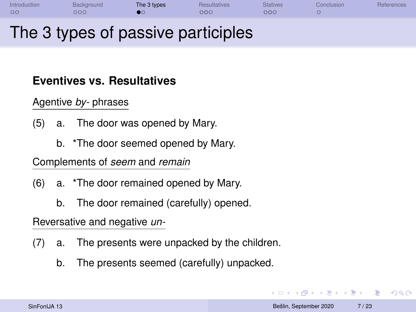<span id="page-6-0"></span>

| <b>OC</b>    | ೦೦೦        |             |                            | 000             |            |            |
|--------------|------------|-------------|----------------------------|-----------------|------------|------------|
| Introduction | Background | The 3 types | <b>Resultatives</b><br>000 | <b>Statives</b> | Conclusion | References |

# The 3 types of passive participles

#### **Eventives vs. Resultatives**

Agentive *by-* phrases

- (5) a. The door was opened by Mary.
	- b. \*The door seemed opened by Mary.

Complements of *seem* and *remain*

- (6) a. \*The door remained opened by Mary.
	- b. The door remained (carefully) opened.

Reversative and negative *un-*

- (7) a. The presents were unpacked by the children.
	- b. The presents seemed (carefully) unpacked.

 $\langle \bigcap \mathbb{P} \rangle$   $\rightarrow$   $\langle \bigcap \mathbb{P} \rangle$   $\rightarrow$   $\langle \bigcap \mathbb{P} \rangle$ 

 $\equiv$   $\Omega$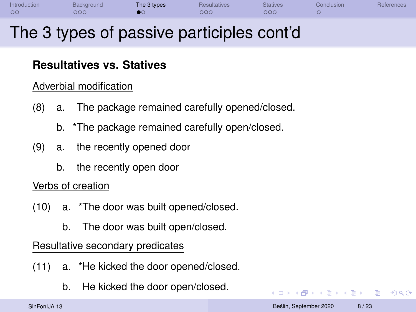| Introduction<br>00 | Background<br>೦೦೦ | The 3 types | <b>Resultatives</b><br>000 | <b>Statives</b><br>೦೦೦ | Conclusion | References |
|--------------------|-------------------|-------------|----------------------------|------------------------|------------|------------|
|                    |                   |             |                            |                        |            |            |

## The 3 types of passive participles cont'd

### **Resultatives vs. Statives**

#### Adverbial modification

- (8) a. The package remained carefully opened/closed.
	- b. \*The package remained carefully open/closed.
- (9) a. the recently opened door
	- b. the recently open door

#### Verbs of creation

- (10) a. \*The door was built opened/closed.
	- b. The door was built open/closed.

#### Resultative secondary predicates

- (11) a. \*He kicked the door opened/closed.
	- b. He kicked the door open/closed.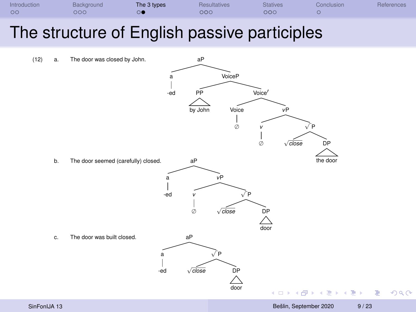

### The structure of English passive participles

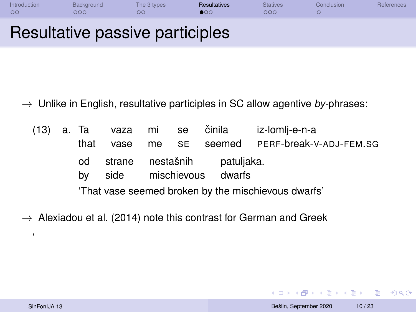<span id="page-9-0"></span>

| Introduction<br>$\circ$ | Background<br>೧೦೧                      | The 3 types | Resultatives<br>$\bullet$ 00 | <b>Statives</b><br>റററ | Conclusion | References |
|-------------------------|----------------------------------------|-------------|------------------------------|------------------------|------------|------------|
|                         | <b>Resultative passive participles</b> |             |                              |                        |            |            |

- $\rightarrow$  Unlike in English, resultative participles in SC allow agentive by-phrases:
	- $(13)$ a. Ta mi se činila iz-lomlj-e-n-a vaza SE seemed PERF-break-V-ADJ-FFM.SG that vase me ho strane nestašnih patuljaka. by side mischievous dwarfs 'That vase seemed broken by the mischievous dwarfs'
- $\rightarrow$  Alexiadou et al. (2014) note this contrast for German and Greek

 $\epsilon$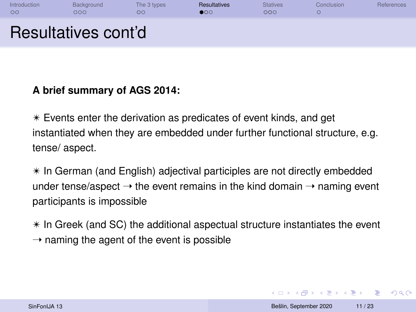| Introduction<br>$\circ$ | Background<br>000   | The 3 types<br>OО | <b>Resultatives</b><br>$\bullet$ 00 | <b>Statives</b><br>000 | Conclusion | <b>References</b> |
|-------------------------|---------------------|-------------------|-------------------------------------|------------------------|------------|-------------------|
|                         | Resultatives cont'd |                   |                                     |                        |            |                   |

#### **A brief summary of AGS 2014:**

✴ Events enter the derivation as predicates of event kinds, and get instantiated when they are embedded under further functional structure, e.g. tense/ aspect.

✴ In German (and English) adjectival participles are not directly embedded under tense/aspect  $\rightarrow$  the event remains in the kind domain  $\rightarrow$  naming event participants is impossible

✴ In Greek (and SC) the additional aspectual structure instantiates the event  $\rightarrow$  naming the agent of the event is possible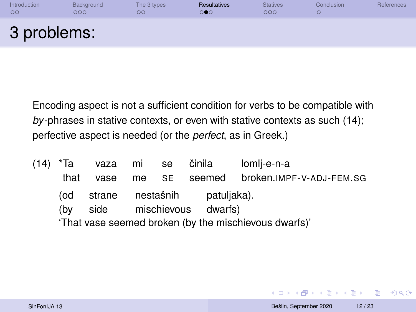| Introduction<br>$\circ$ | Background<br>೧೦೧ | The 3 types<br>$\circ$ | <b>Resultatives</b><br>000 | <b>Statives</b><br>000 | Conclusion | References |
|-------------------------|-------------------|------------------------|----------------------------|------------------------|------------|------------|
| 3 problems:             |                   |                        |                            |                        |            |            |

Encoding aspect is not a sufficient condition for verbs to be compatible with by-phrases in stative contexts, or even with stative contexts as such (14); perfective aspect is needed (or the *perfect*, as in Greek.)

| (14) | *Ta  |        |             | vaza mi se činila | lomli-e-n-a                                           |
|------|------|--------|-------------|-------------------|-------------------------------------------------------|
|      | that | vase   |             |                   | me SE seemed broken.IMPF-V-ADJ-FEM.SG                 |
|      | (od  | strane | nestašnih   | patuljaka).       |                                                       |
|      | (bv  | side   | mischievous | dwarfs)           |                                                       |
|      |      |        |             |                   | 'That vase seemed broken (by the mischievous dwarfs)' |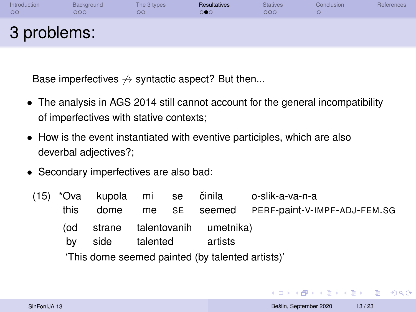| Introduction<br>00 | Background<br>000 | The 3 types<br>OО | Resultatives<br>ಂ೦೧ | <b>Statives</b><br>000 | Conclusion | <b>References</b> |
|--------------------|-------------------|-------------------|---------------------|------------------------|------------|-------------------|
| 3 problems:        |                   |                   |                     |                        |            |                   |

Base imperfectives  $\not\rightarrow$  syntactic aspect? But then...

- The analysis in AGS 2014 still cannot account for the general incompatibility of imperfectives with stative contexts;
- How is the event instantiated with eventive participles, which are also deverbal adjectives?;
- Secondary imperfectives are also bad:

|                                                  |                                       |          |  |  | (15) *Ova kupola mi se činila o-slik-a-va-n-a |  |  |  |
|--------------------------------------------------|---------------------------------------|----------|--|--|-----------------------------------------------|--|--|--|
| this                                             | dome                                  |          |  |  | me SE seemed PERF-paint-V-IMPF-ADJ-FEM.SG     |  |  |  |
| (od<br>bv                                        | strane talentovanih umetnika)<br>side | talented |  |  |                                               |  |  |  |
| 'This dome seemed painted (by talented artists)' |                                       |          |  |  |                                               |  |  |  |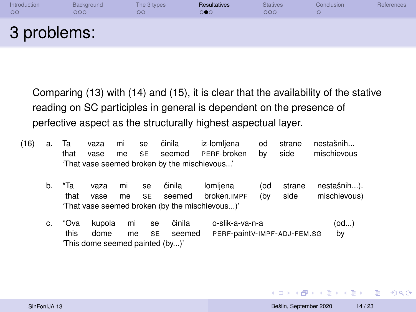| Introduction<br>$\circ$ | Background<br>000 | The 3 types<br>OΟ | Resultatives<br>000 | <b>Statives</b><br>000 | Conclusion | References |
|-------------------------|-------------------|-------------------|---------------------|------------------------|------------|------------|
| 3 problems:             |                   |                   |                     |                        |            |            |

Comparing (13) with (14) and (15), it is clear that the availability of the stative reading on SC participles in general is dependent on the presence of perfective aspect as the structurally highest aspectual layer.

- (16) a. Ta that vaza vase mi me se SE činila seemed iz-lomliena PERF-broken od by strane side nestašnih... mischievous 'That vase seemed broken by the mischievous...'
	- b. \*Ta that vaza vase mi me se SE cinila ˇ seemed lomliena broken.IMPF (od (by strane side nestašnih...). mischievous) 'That vase seemed broken (by the mischievous...)'
	- c. \*Ova this kupola dome mi me se **SE** činila seemed o-slik-a-va-n-a PERF-paintV-IMPF-ADJ-FEM.SG (od...) by 'This dome seemed painted (by...)'

 $QQ$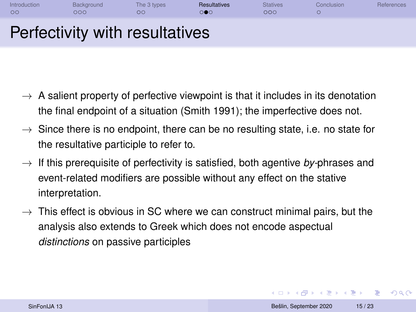| Introduction<br>$\circ$ | Background<br>000 | The 3 types<br>OC              | Resultatives<br>ை | <b>Statives</b><br>000 | Conclusion | References |
|-------------------------|-------------------|--------------------------------|-------------------|------------------------|------------|------------|
|                         |                   | Perfectivity with resultatives |                   |                        |            |            |

- $\rightarrow$  A salient property of perfective viewpoint is that it includes in its denotation the final endpoint of a situation [\(Smith 1991\)](#page-24-4); the imperfective does not.
- $\rightarrow$  Since there is no endpoint, there can be no resulting state, i.e. no state for the resultative participle to refer to.
- $\rightarrow$  If this prerequisite of perfectivity is satisfied, both agentive *by*-phrases and event-related modifiers are possible without any effect on the stative interpretation.
- $\rightarrow$  This effect is obvious in SC where we can construct minimal pairs, but the analysis also extends to Greek which does not encode aspectual *distinctions* on passive participles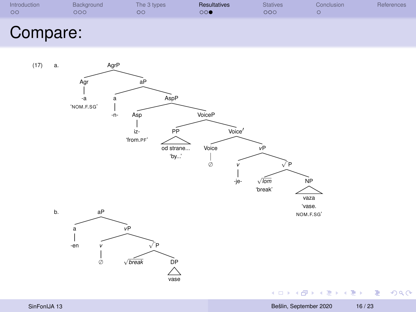| Introduction<br>00 <sup>1</sup> | Background<br>၁ဝဝ | The 3 types<br>ОC | <b>Resultatives</b><br>၁၀၀ | <b>Statives</b><br>၁၀၀ | Conclusion | References |
|---------------------------------|-------------------|-------------------|----------------------------|------------------------|------------|------------|
|                                 |                   |                   |                            |                        |            |            |

### Compare:



 $\equiv$ 

 $299$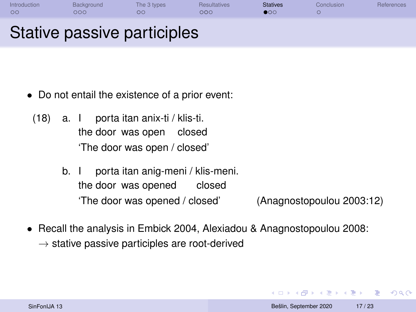<span id="page-16-0"></span>

| Introduction<br>$\circ$ | Background<br>000 | The 3 types<br>ററ           | <b>Resultatives</b><br>000 | <b>Statives</b><br>$\bullet$ 00 | Conclusion | <b>References</b> |
|-------------------------|-------------------|-----------------------------|----------------------------|---------------------------------|------------|-------------------|
|                         |                   | Stative passive participles |                            |                                 |            |                   |

- Do not entail the existence of a prior event:
	- (18) a. I porta itan anix-ti / klis-ti. the door was open closed 'The door was open / closed'
		- b. I porta itan anig-meni / klis-meni. the door was opened closed 'The door was opened / closed' (Anagnostopoulou 2003:12)
- Recall the analysis in [Embick 2004,](#page-23-1) [Alexiadou & Anagnostopoulou 2008:](#page-23-2)  $\rightarrow$  stative passive participles are root-derived

**KORK ERREST ADAMS**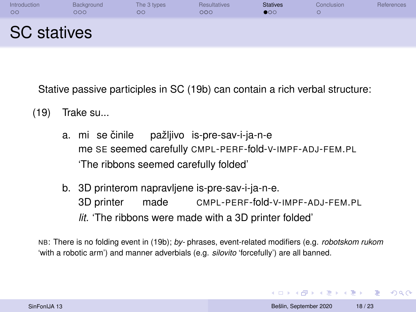| Introduction<br>00 | Background<br>000 | The 3 types<br>$\circ$ | <b>Resultatives</b><br>000 | <b>Statives</b><br>000 | Conclusion | References |
|--------------------|-------------------|------------------------|----------------------------|------------------------|------------|------------|
| <b>SC</b> statives |                   |                        |                            |                        |            |            |

Stative passive participles in SC (19b) can contain a rich verbal structure:

- (19) Trake su...
	- a. mi se činile pažljivo is-pre-sav-i-ja-n-e me SE seemed carefully CMPL-PERF-fold-V-IMPF-ADJ-FEM.PL 'The ribbons seemed carefully folded'
	- b. 3D printerom napravljene is-pre-sav-i-ja-n-e. 3D printer made CMPL-PERF-fold-V-IMPF-ADJ-FEM.PL *lit.* 'The ribbons were made with a 3D printer folded'

NB: There is no folding event in (19b); *by-* phrases, event-related modifiers (e.g. *robotskom rukom* 'with a robotic arm') and manner adverbials (e.g. *silovito* 'forcefully') are all banned.

**KORK ERREST ADAMS**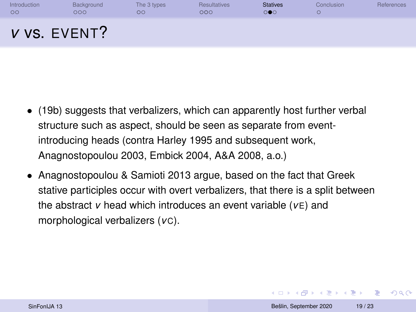| Introduction<br>$\circ$ | Background<br>000 | The 3 types<br>$\circ$ | <b>Resultatives</b><br>000 | <b>Statives</b><br>$\circ \bullet \circ$ | Conclusion | References |
|-------------------------|-------------------|------------------------|----------------------------|------------------------------------------|------------|------------|
| V VS. EVENT?            |                   |                        |                            |                                          |            |            |

- (19b) suggests that verbalizers, which can apparently host further verbal structure such as aspect, should be seen as separate from eventintroducing heads (contra [Harley 1995](#page-23-12) and subsequent work, Anagnostopoulou 2003, Embick 2004, A&A 2008, a.o.)
- [Anagnostopoulou & Samioti 2013](#page-23-3) argue, based on the fact that Greek stative participles occur with overt verbalizers, that there is a split between the abstract *v* head which introduces an event variable (*v*E) and morphological verbalizers ( $v$ C).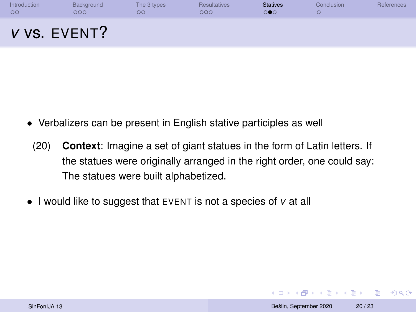| Introduction<br>$\circ$ | Background<br>000 | The 3 types<br>OО | <b>Resultatives</b><br>000 | <b>Statives</b><br>000 | Conclusion | References |
|-------------------------|-------------------|-------------------|----------------------------|------------------------|------------|------------|
|                         | V VS. EVENT?      |                   |                            |                        |            |            |

- Verbalizers can be present in English stative participles as well
	- (20) **Context**: Imagine a set of giant statues in the form of Latin letters. If the statues were originally arranged in the right order, one could say: The statues were built alphabetized.
- I would like to suggest that EVENT is not a species of *v* at all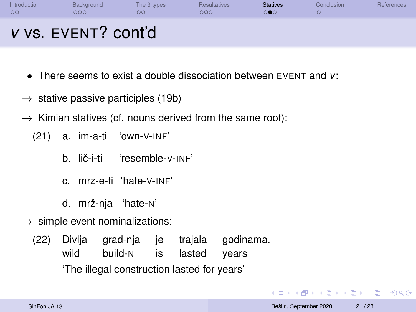| Introduction<br>$\circ$ | Background<br>000   | The 3 types<br>$\circ$ | <b>Resultatives</b><br>000 | <b>Statives</b><br>000 | Conclusion | References |
|-------------------------|---------------------|------------------------|----------------------------|------------------------|------------|------------|
|                         | V VS. EVENT? cont'd |                        |                            |                        |            |            |

- There seems to exist a double dissociation between EVENT and *v*:
- $\rightarrow$  stative passive participles (19b)
- $\rightarrow$  Kimian statives (cf. nouns derived from the same root):
	- (21) a. im-a-ti 'own-V-INF'
		- b. lič-i-ti 'resemble-V-INF'
		- c. mrz-e-ti 'hate-V-INF'
		- d. mrž-nja 'hate-N'
- $\rightarrow$  simple event nominalizations:
	- (22) Divlja wild grad-nja je trajala build-N is lasted godinama. years 'The illegal construction lasted for years'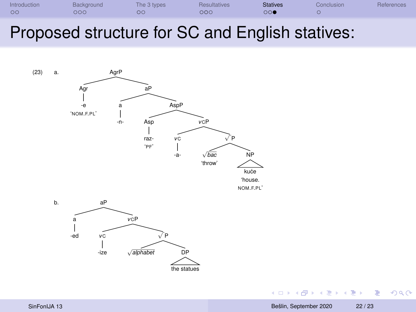| Introduction | Background | The 3 types | <b>Resultatives</b> | <b>Statives</b> | Conclusion | References |
|--------------|------------|-------------|---------------------|-----------------|------------|------------|
| $\circ$      | ၁ဝဝ        |             | 000                 | 000             |            |            |
|              |            |             |                     |                 |            |            |

### Proposed structure for SC and English statives:





 $\rightarrow$ 

 $\sim$ 

×

E

 $298$ 

**◆ロト ◆母ト**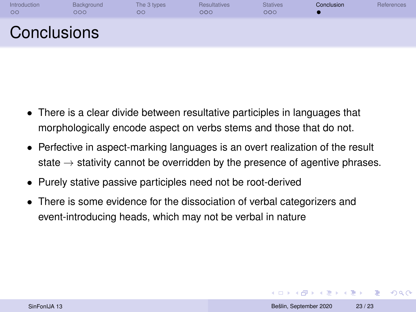<span id="page-22-0"></span>

| Introduction<br>00 | Background<br>000 | The 3 types<br>ОC | <b>Resultatives</b><br>000 | <b>Statives</b><br>000 | Conclusion | References |
|--------------------|-------------------|-------------------|----------------------------|------------------------|------------|------------|
| <b>Conclusions</b> |                   |                   |                            |                        |            |            |

- There is a clear divide between resultative participles in languages that morphologically encode aspect on verbs stems and those that do not.
- Perfective in aspect-marking languages is an overt realization of the result state  $\rightarrow$  stativity cannot be overridden by the presence of agentive phrases.
- Purely stative passive participles need not be root-derived
- There is some evidence for the dissociation of verbal categorizers and event-introducing heads, which may not be verbal in nature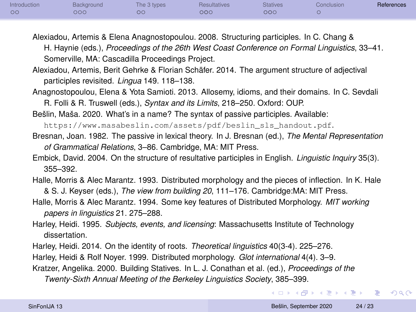<span id="page-23-0"></span>

| Introduction | Background | The 3 types | <b>Resultatives</b> | <b>Statives</b> | Conclusion | References |
|--------------|------------|-------------|---------------------|-----------------|------------|------------|
| $\circ$      | ೦೦೦        | $\circ$     | ၁၀၀                 | $\circ \circ$   |            |            |

<span id="page-23-2"></span>Alexiadou, Artemis & Elena Anagnostopoulou. 2008. Structuring participles. In C. Chang &

H. Haynie (eds.), *Proceedings of the 26th West Coast Conference on Formal Linguistics*, 33–41. Somerville, MA: Cascadilla Proceedings Project.

<span id="page-23-6"></span>Alexiadou, Artemis, Berit Gehrke & Florian Schäfer. 2014. The argument structure of adjectival participles revisited. *Lingua* 149. 118–138.

<span id="page-23-3"></span>Anagnostopoulou, Elena & Yota Samioti. 2013. Allosemy, idioms, and their domains. In C. Sevdali R. Folli & R. Truswell (eds.), *Syntax and its Limits*, 218–250. Oxford: OUP.

<span id="page-23-7"></span>Bešlin, Maša. 2020. What's in a name? The syntax of passive participles. Available:

[https://www.masabeslin.com/assets/pdf/beslin\\_sls\\_handout.pdf](https://www.masabeslin.com/assets/pdf/beslin_sls_handout.pdf).

- <span id="page-23-4"></span>Bresnan, Joan. 1982. The passive in lexical theory. In J. Bresnan (ed.), *The Mental Representation of Grammatical Relations*, 3–86. Cambridge, MA: MIT Press.
- <span id="page-23-1"></span>Embick, David. 2004. On the structure of resultative participles in English. *Linguistic Inquiry* 35(3). 355–392.
- <span id="page-23-8"></span>Halle, Morris & Alec Marantz. 1993. Distributed morphology and the pieces of inflection. In K. Hale & S. J. Keyser (eds.), *The view from building 20*, 111–176. Cambridge:MA: MIT Press.
- <span id="page-23-9"></span>Halle, Morris & Alec Marantz. 1994. Some key features of Distributed Morphology. *MIT working papers in linguistics* 21. 275–288.
- <span id="page-23-12"></span>Harley, Heidi. 1995. *Subjects, events, and licensing*: Massachusetts Institute of Technology dissertation.

<span id="page-23-11"></span>Harley, Heidi. 2014. On the identity of roots. *Theoretical linguistics* 40(3-4). 225–276.

<span id="page-23-10"></span>Harley, Heidi & Rolf Noyer. 1999. Distributed morphology. *Glot international* 4(4). 3–9.

<span id="page-23-5"></span>Kratzer, Angelika. 2000. Building Statives. In L. J. Conathan et al. (ed.), *Proceedings of the*

*Twenty-Sixth Annual Meeting of the Berkeley Linguistics Society*, 385–399.

 $QQ$